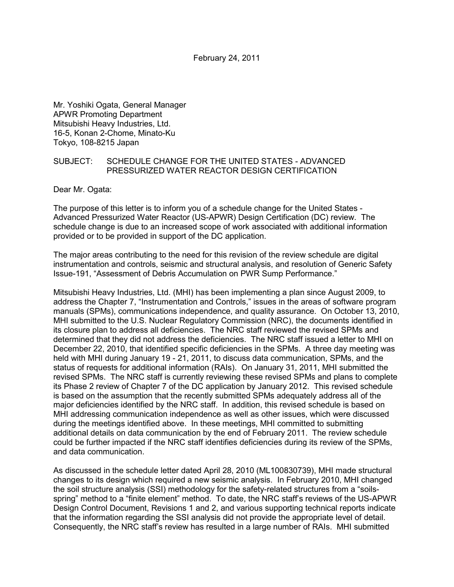February 24, 2011

Mr. Yoshiki Ogata, General Manager APWR Promoting Department Mitsubishi Heavy Industries, Ltd. 16-5, Konan 2-Chome, Minato-Ku Tokyo, 108-8215 Japan

## SUBJECT: SCHEDULE CHANGE FOR THE UNITED STATES - ADVANCED PRESSURIZED WATER REACTOR DESIGN CERTIFICATION

Dear Mr. Ogata:

The purpose of this letter is to inform you of a schedule change for the United States - Advanced Pressurized Water Reactor (US-APWR) Design Certification (DC) review. The schedule change is due to an increased scope of work associated with additional information provided or to be provided in support of the DC application.

The major areas contributing to the need for this revision of the review schedule are digital instrumentation and controls, seismic and structural analysis, and resolution of Generic Safety Issue-191, "Assessment of Debris Accumulation on PWR Sump Performance."

Mitsubishi Heavy Industries, Ltd. (MHI) has been implementing a plan since August 2009, to address the Chapter 7, "Instrumentation and Controls," issues in the areas of software program manuals (SPMs), communications independence, and quality assurance. On October 13, 2010, MHI submitted to the U.S. Nuclear Regulatory Commission (NRC), the documents identified in its closure plan to address all deficiencies. The NRC staff reviewed the revised SPMs and determined that they did not address the deficiencies. The NRC staff issued a letter to MHI on December 22, 2010, that identified specific deficiencies in the SPMs. A three day meeting was held with MHI during January 19 - 21, 2011, to discuss data communication, SPMs, and the status of requests for additional information (RAIs). On January 31, 2011, MHI submitted the revised SPMs. The NRC staff is currently reviewing these revised SPMs and plans to complete its Phase 2 review of Chapter 7 of the DC application by January 2012. This revised schedule is based on the assumption that the recently submitted SPMs adequately address all of the major deficiencies identified by the NRC staff. In addition, this revised schedule is based on MHI addressing communication independence as well as other issues, which were discussed during the meetings identified above. In these meetings, MHI committed to submitting additional details on data communication by the end of February 2011. The review schedule could be further impacted if the NRC staff identifies deficiencies during its review of the SPMs, and data communication.

As discussed in the schedule letter dated April 28, 2010 (ML100830739), MHI made structural changes to its design which required a new seismic analysis. In February 2010, MHI changed the soil structure analysis (SSI) methodology for the safety-related structures from a "soilsspring" method to a "finite element" method. To date, the NRC staff's reviews of the US-APWR Design Control Document, Revisions 1 and 2, and various supporting technical reports indicate that the information regarding the SSI analysis did not provide the appropriate level of detail. Consequently, the NRC staff's review has resulted in a large number of RAIs. MHI submitted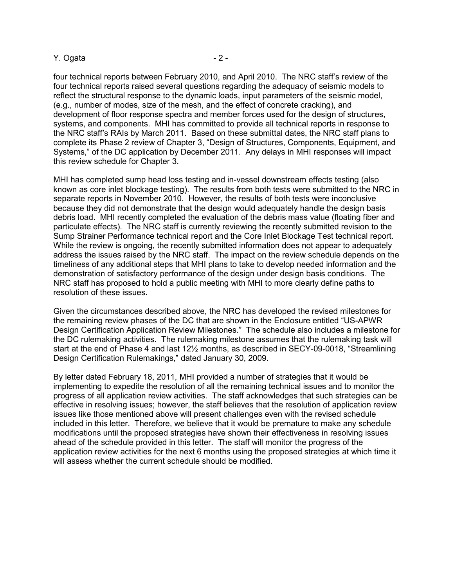### Y. Ogata  $-2$  -

four technical reports between February 2010, and April 2010. The NRC staff's review of the four technical reports raised several questions regarding the adequacy of seismic models to reflect the structural response to the dynamic loads, input parameters of the seismic model, (e.g., number of modes, size of the mesh, and the effect of concrete cracking), and development of floor response spectra and member forces used for the design of structures, systems, and components. MHI has committed to provide all technical reports in response to the NRC staff's RAIs by March 2011. Based on these submittal dates, the NRC staff plans to complete its Phase 2 review of Chapter 3, "Design of Structures, Components, Equipment, and Systems," of the DC application by December 2011. Any delays in MHI responses will impact this review schedule for Chapter 3.

MHI has completed sump head loss testing and in-vessel downstream effects testing (also known as core inlet blockage testing). The results from both tests were submitted to the NRC in separate reports in November 2010. However, the results of both tests were inconclusive because they did not demonstrate that the design would adequately handle the design basis debris load. MHI recently completed the evaluation of the debris mass value (floating fiber and particulate effects). The NRC staff is currently reviewing the recently submitted revision to the Sump Strainer Performance technical report and the Core Inlet Blockage Test technical report. While the review is ongoing, the recently submitted information does not appear to adequately address the issues raised by the NRC staff. The impact on the review schedule depends on the timeliness of any additional steps that MHI plans to take to develop needed information and the demonstration of satisfactory performance of the design under design basis conditions. The NRC staff has proposed to hold a public meeting with MHI to more clearly define paths to resolution of these issues.

Given the circumstances described above, the NRC has developed the revised milestones for the remaining review phases of the DC that are shown in the Enclosure entitled "US-APWR Design Certification Application Review Milestones." The schedule also includes a milestone for the DC rulemaking activities. The rulemaking milestone assumes that the rulemaking task will start at the end of Phase 4 and last 12½ months, as described in SECY-09-0018, "Streamlining Design Certification Rulemakings," dated January 30, 2009.

By letter dated February 18, 2011, MHI provided a number of strategies that it would be implementing to expedite the resolution of all the remaining technical issues and to monitor the progress of all application review activities. The staff acknowledges that such strategies can be effective in resolving issues; however, the staff believes that the resolution of application review issues like those mentioned above will present challenges even with the revised schedule included in this letter. Therefore, we believe that it would be premature to make any schedule modifications until the proposed strategies have shown their effectiveness in resolving issues ahead of the schedule provided in this letter. The staff will monitor the progress of the application review activities for the next 6 months using the proposed strategies at which time it will assess whether the current schedule should be modified.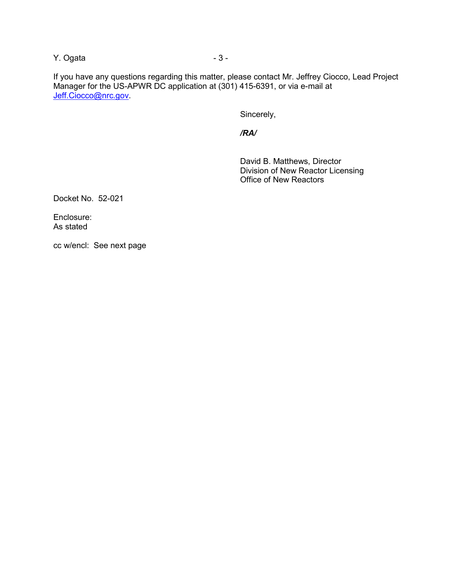Y. Ogata and a set of  $\sim$  3 -

If you have any questions regarding this matter, please contact Mr. Jeffrey Ciocco, Lead Project Manager for the US-APWR DC application at (301) 415-6391, or via e-mail at Jeff.Ciocco@nrc.gov.

Sincerely,

 */RA/* 

David B. Matthews, Director Division of New Reactor Licensing Office of New Reactors

Docket No. 52-021

Enclosure: As stated

cc w/encl: See next page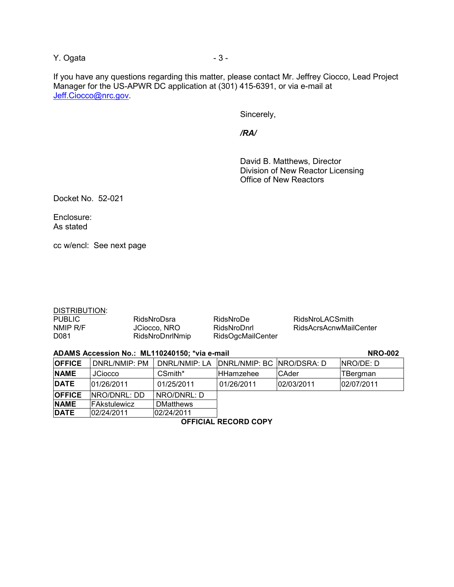Y. Ogata and a set of  $\sim$  3 -

If you have any questions regarding this matter, please contact Mr. Jeffrey Ciocco, Lead Project Manager for the US-APWR DC application at (301) 415-6391, or via e-mail at Jeff.Ciocco@nrc.gov.

Sincerely,

 */RA/* 

David B. Matthews, Director Division of New Reactor Licensing Office of New Reactors

Docket No. 52-021

Enclosure: As stated

cc w/encl: See next page

|--|

PUBLIC RidsNroDsra RidsNroDe RidsNroLACSmith D081 RidsNroDnrlNmip RidsOgcMailCenter

RidsAcrsAcnwMailCenter

### **ADAMS Accession No.: ML110240150; \*via e-mail**  $\blacksquare$  **NRO-002 <b>NRO-002**

| <b>OFFICE</b> | DNRL/NMIP: PM       | DNRL/NMIP: LA    | DNRL/NMIP: BC   NRO/DSRA: D |              | INRO/DE: D |
|---------------|---------------------|------------------|-----------------------------|--------------|------------|
| <b>NAME</b>   | <b>JCiocco</b>      | CSmith*          | lHHamzehee                  | <b>CAder</b> | TBergman   |
| <b>DATE</b>   | 01/26/2011          | 01/25/2011       | 01/26/2011                  | 02/03/2011   | 02/07/2011 |
| <b>OFFICE</b> | INRO/DNRL: DD       | NRO/DNRL: D      |                             |              |            |
| <b>NAME</b>   | <b>FAkstulewicz</b> | <b>DMatthews</b> |                             |              |            |
| <b>DATE</b>   | 02/24/2011          | 02/24/2011       |                             |              |            |

**OFFICIAL RECORD COPY**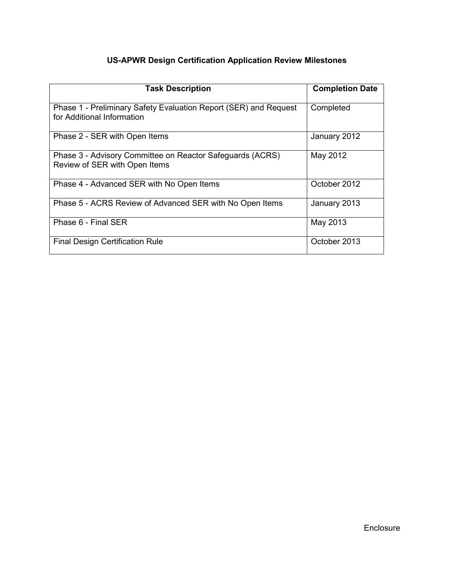# **US-APWR Design Certification Application Review Milestones**

| <b>Task Description</b>                                                                        | <b>Completion Date</b> |
|------------------------------------------------------------------------------------------------|------------------------|
| Phase 1 - Preliminary Safety Evaluation Report (SER) and Request<br>for Additional Information | Completed              |
| Phase 2 - SER with Open Items                                                                  | January 2012           |
| Phase 3 - Advisory Committee on Reactor Safeguards (ACRS)<br>Review of SER with Open Items     | May 2012               |
| Phase 4 - Advanced SER with No Open Items                                                      | October 2012           |
| Phase 5 - ACRS Review of Advanced SER with No Open Items                                       | January 2013           |
| Phase 6 - Final SER                                                                            | May 2013               |
| <b>Final Design Certification Rule</b>                                                         | October 2013           |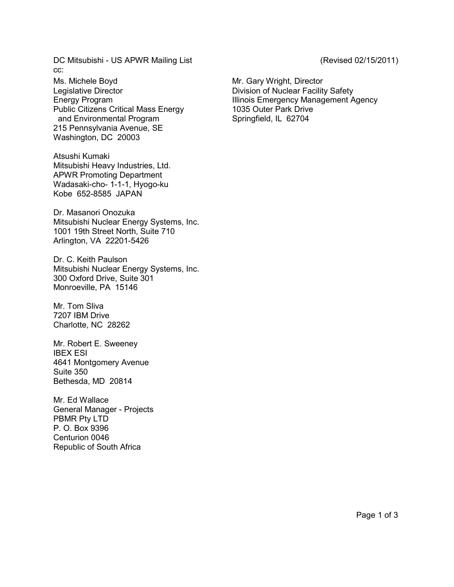DC Mitsubishi - US APWR Mailing List (Revised 02/15/2011) cc:

Ms. Michele Boyd **Mr.** Gary Wright, Director Legislative Director **Division of Nuclear Facility Safety** Public Citizens Critical Mass Energy 1035 Outer Park Drive and Environmental Program Springfield, IL 62704 215 Pennsylvania Avenue, SE Washington, DC 20003

Atsushi Kumaki Mitsubishi Heavy Industries, Ltd. APWR Promoting Department Wadasaki-cho- 1-1-1, Hyogo-ku Kobe 652-8585 JAPAN

Dr. Masanori Onozuka Mitsubishi Nuclear Energy Systems, Inc. 1001 19th Street North, Suite 710 Arlington, VA 22201-5426

Dr. C. Keith Paulson Mitsubishi Nuclear Energy Systems, Inc. 300 Oxford Drive, Suite 301 Monroeville, PA 15146

Mr. Tom Sliva 7207 IBM Drive Charlotte, NC 28262

Mr. Robert E. Sweeney IBEX ESI 4641 Montgomery Avenue Suite 350 Bethesda, MD 20814

Mr. Ed Wallace General Manager - Projects PBMR Pty LTD P. O. Box 9396 Centurion 0046 Republic of South Africa

Energy Program **Illinois Emergency Management Agency**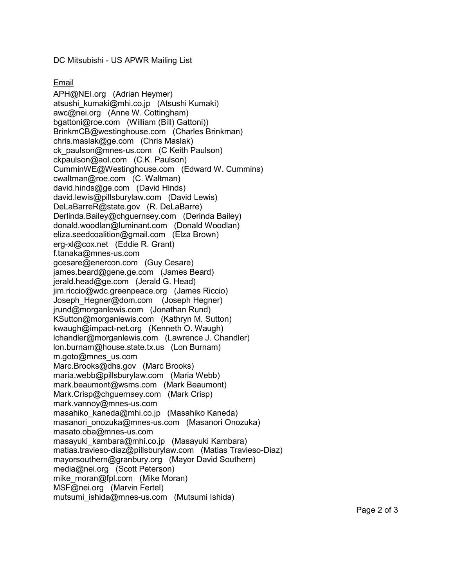DC Mitsubishi - US APWR Mailing List

# Email

APH@NEI.org (Adrian Heymer) atsushi kumaki@mhi.co.jp (Atsushi Kumaki) awc@nei.org (Anne W. Cottingham) bgattoni@roe.com (William (Bill) Gattoni)) BrinkmCB@westinghouse.com (Charles Brinkman) chris.maslak@ge.com (Chris Maslak) ck\_paulson@mnes-us.com (C Keith Paulson) ckpaulson@aol.com (C.K. Paulson) CumminWE@Westinghouse.com (Edward W. Cummins) cwaltman@roe.com (C. Waltman) david.hinds@ge.com (David Hinds) david.lewis@pillsburylaw.com (David Lewis) DeLaBarreR@state.gov (R. DeLaBarre) Derlinda.Bailey@chguernsey.com (Derinda Bailey) donald.woodlan@luminant.com (Donald Woodlan) eliza.seedcoalition@gmail.com (Elza Brown) erg-xl@cox.net (Eddie R. Grant) f.tanaka@mnes-us.com gcesare@enercon.com (Guy Cesare) james.beard@gene.ge.com (James Beard) jerald.head@ge.com (Jerald G. Head) jim.riccio@wdc.greenpeace.org (James Riccio) Joseph\_Hegner@dom.com (Joseph Hegner) jrund@morganlewis.com (Jonathan Rund) KSutton@morganlewis.com (Kathryn M. Sutton) kwaugh@impact-net.org (Kenneth O. Waugh) lchandler@morganlewis.com (Lawrence J. Chandler) lon.burnam@house.state.tx.us (Lon Burnam) m.goto@mnes\_us.com Marc.Brooks@dhs.gov (Marc Brooks) maria.webb@pillsburylaw.com (Maria Webb) mark.beaumont@wsms.com (Mark Beaumont) Mark.Crisp@chguernsey.com (Mark Crisp) mark.vannoy@mnes-us.com masahiko\_kaneda@mhi.co.jp (Masahiko Kaneda) masanori onozuka@mnes-us.com (Masanori Onozuka) masato.oba@mnes-us.com masayuki\_kambara@mhi.co.jp (Masayuki Kambara) matias.travieso-diaz@pillsburylaw.com (Matias Travieso-Diaz) mayorsouthern@granbury.org (Mayor David Southern) media@nei.org (Scott Peterson) mike\_moran@fpl.com (Mike Moran) MSF@nei.org (Marvin Fertel) mutsumi\_ishida@mnes-us.com (Mutsumi Ishida)